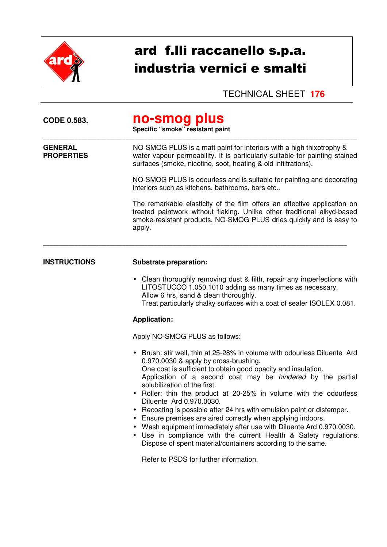

# ard f.lli raccanello s.p.a. industria vernici e smalti

TECHNICAL SHEET **176** 

| <b>CODE 0.583.</b>                  | no-smog plus<br>Specific "smoke" resistant paint                                                                                                                                                                                                                                                                                                                                                                                                                                                                                                                                                                                                                                                                                      |  |
|-------------------------------------|---------------------------------------------------------------------------------------------------------------------------------------------------------------------------------------------------------------------------------------------------------------------------------------------------------------------------------------------------------------------------------------------------------------------------------------------------------------------------------------------------------------------------------------------------------------------------------------------------------------------------------------------------------------------------------------------------------------------------------------|--|
| <b>GENERAL</b><br><b>PROPERTIES</b> | NO-SMOG PLUS is a matt paint for interiors with a high thixotrophy &<br>water vapour permeability. It is particularly suitable for painting stained<br>surfaces (smoke, nicotine, soot, heating & old infiltrations).                                                                                                                                                                                                                                                                                                                                                                                                                                                                                                                 |  |
|                                     | NO-SMOG PLUS is odourless and is suitable for painting and decorating<br>interiors such as kitchens, bathrooms, bars etc                                                                                                                                                                                                                                                                                                                                                                                                                                                                                                                                                                                                              |  |
|                                     | The remarkable elasticity of the film offers an effective application on<br>treated paintwork without flaking. Unlike other traditional alkyd-based<br>smoke-resistant products, NO-SMOG PLUS dries quickly and is easy to<br>apply.                                                                                                                                                                                                                                                                                                                                                                                                                                                                                                  |  |
| <b>INSTRUCTIONS</b>                 | <b>Substrate preparation:</b>                                                                                                                                                                                                                                                                                                                                                                                                                                                                                                                                                                                                                                                                                                         |  |
|                                     | • Clean thoroughly removing dust & filth, repair any imperfections with<br>LITOSTUCCO 1.050.1010 adding as many times as necessary.<br>Allow 6 hrs, sand & clean thoroughly.<br>Treat particularly chalky surfaces with a coat of sealer ISOLEX 0.081.                                                                                                                                                                                                                                                                                                                                                                                                                                                                                |  |
|                                     | <b>Application:</b>                                                                                                                                                                                                                                                                                                                                                                                                                                                                                                                                                                                                                                                                                                                   |  |
|                                     | Apply NO-SMOG PLUS as follows:                                                                                                                                                                                                                                                                                                                                                                                                                                                                                                                                                                                                                                                                                                        |  |
|                                     | • Brush: stir well, thin at 25-28% in volume with odourless Diluente Ard<br>0.970.0030 & apply by cross-brushing.<br>One coat is sufficient to obtain good opacity and insulation.<br>Application of a second coat may be <i>hindered</i> by the partial<br>solubilization of the first.<br>Roller: thin the product at 20-25% in volume with the odourless<br>Diluente Ard 0.970.0030.<br>Recoating is possible after 24 hrs with emulsion paint or distemper.<br>Ensure premises are aired correctly when applying indoors.<br>Wash equipment immediately after use with Diluente Ard 0.970.0030.<br>Use in compliance with the current Health & Safety regulations.<br>Dispose of spent material/containers according to the same. |  |
|                                     | Refer to PSDS for further information.                                                                                                                                                                                                                                                                                                                                                                                                                                                                                                                                                                                                                                                                                                |  |